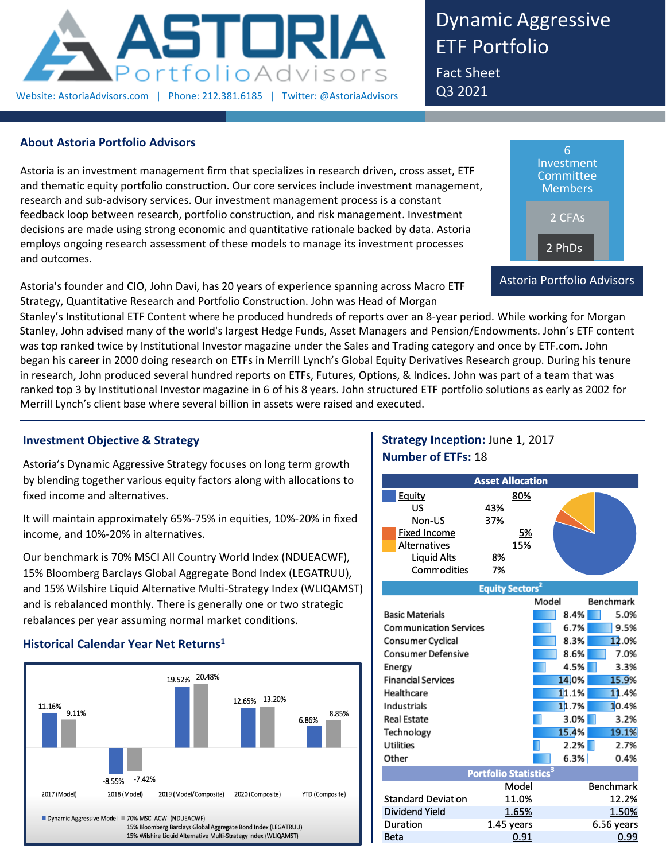

Dynamic Aggressive ETF Portfolio Fact Sheet

Q3 2021

## **About Astoria Portfolio Advisors**

Astoria is an investment management firm that specializes in research driven, cross asset, ETF and thematic equity portfolio construction. Our core services include investment management, research and sub-advisory services. Our investment management process is a constant feedback loop between research, portfolio construction, and risk management. Investment decisions are made using strong economic and quantitative rationale backed by data. Astoria employs ongoing research assessment of these models to manage its investment processes and outcomes.

Astoria's founder and CIO, John Davi, has 20 years of experience spanning across Macro ETF Strategy, Quantitative Research and Portfolio Construction. John was Head of Morgan



Stanley's Institutional ETF Content where he produced hundreds of reports over an 8-year period. While working for Morgan Stanley, John advised many of the world's largest Hedge Funds, Asset Managers and Pension/Endowments. John's ETF content was top ranked twice by Institutional Investor magazine under the Sales and Trading category and once by ETF.com. John began his career in 2000 doing research on ETFs in Merrill Lynch's Global Equity Derivatives Research group. During his tenure in research, John produced several hundred reports on ETFs, Futures, Options, & Indices. John was part of a team that was ranked top 3 by Institutional Investor magazine in 6 of his 8 years. John structured ETF portfolio solutions as early as 2002 for Merrill Lynch's client base where several billion in assets were raised and executed.

## **Investment Objective & Strategy**

Astoria's Dynamic Aggressive Strategy focuses on long term growth by blending together various equity factors along with allocations to fixed income and alternatives.

It will maintain approximately 65%-75% in equities, 10%-20% in fixed income, and 10%-20% in alternatives.

Our benchmark is 70% MSCI All Country World Index (NDUEACWF), 15% Bloomberg Barclays Global Aggregate Bond Index (LEGATRUU), and 15% Wilshire Liquid Alternative Multi-Strategy Index (WLIQAMST) and is rebalanced monthly. There is generally one or two strategic rebalances per year assuming normal market conditions.

## **Historical Calendar Year Net Returns<sup>1</sup>**



# **Strategy Inception:** June 1, 2017 **Number of ETFs:** 18

|                     | <b>Asset Allocation</b> |  |
|---------------------|-------------------------|--|
| Equity              | 80%                     |  |
| US                  | 43%                     |  |
| Non-US              | 37%                     |  |
| <b>Fixed Income</b> | 5%                      |  |
| Alternatives        | 15%                     |  |
| <b>Liquid Alts</b>  | 8%                      |  |
| Commodities         | 7%                      |  |

|                               | <b>Equity Sectors</b>             |       |       |            |
|-------------------------------|-----------------------------------|-------|-------|------------|
|                               |                                   | Model |       | Benchmark  |
| <b>Basic Materials</b>        |                                   |       | 8.4%  | 5.0%       |
| <b>Communication Services</b> |                                   |       | 6.7%  | 9.5%       |
| Consumer Cyclical             |                                   |       | 8.3%  | 12.0%      |
| <b>Consumer Defensive</b>     |                                   |       | 8.6%  | 7.0%       |
| Energy                        |                                   |       | 4.5%  | 3.3%       |
| <b>Financial Services</b>     |                                   |       | 14,0% | 15.9%      |
| Healthcare                    |                                   |       | 11.1% | 11.4%      |
| Industrials                   |                                   |       | 11.7% | 10.4%      |
| <b>Real Estate</b>            |                                   |       | 3.0%  | 3.2%       |
| Technology                    |                                   |       | 15.4% | 19.1%      |
| <b>Utilities</b>              |                                   |       | 2.2%  | 2.7%       |
| Other                         |                                   |       | 6.3%  | 0.4%       |
|                               | Portfolio Statistics <sup>3</sup> |       |       |            |
|                               | Model                             |       |       | Benchmark  |
| <b>Standard Deviation</b>     | 11.0%                             |       |       | 12.2%      |
| Dividend Yield                | 1.65%                             |       |       | 1.50%      |
| Duration                      | 1.45 years                        |       |       | 6.56 years |
| Beta                          | 0.91                              |       |       | 0.99       |
|                               |                                   |       |       |            |